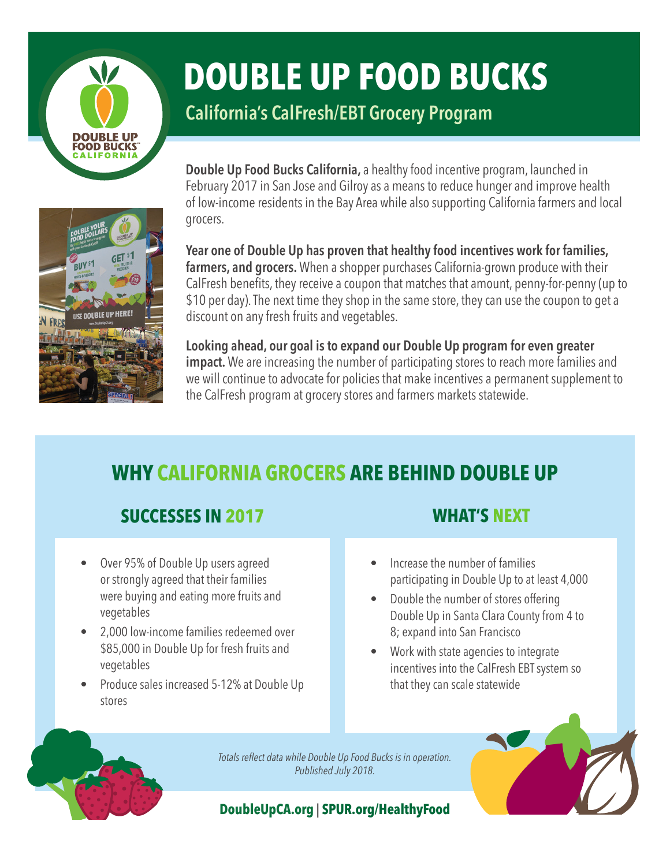

# **DOUBLE UP FOOD BUCKS**

**California's CalFresh/EBT Grocery Program**



**Double Up Food Bucks California,** a healthy food incentive program, launched in February 2017 in San Jose and Gilroy as a means to reduce hunger and improve health of low-income residents in the Bay Area while also supporting California farmers and local grocers.

**Year one of Double Up has proven that healthy food incentives work for families, farmers, and grocers.** When a shopper purchases California-grown produce with their CalFresh benefits, they receive a coupon that matches that amount, penny-for-penny (up to \$10 per day). The next time they shop in the same store, they can use the coupon to get a discount on any fresh fruits and vegetables.

**Looking ahead, our goal is to expand our Double Up program for even greater impact.** We are increasing the number of participating stores to reach more families and we will continue to advocate for policies that make incentives a permanent supplement to the CalFresh program at grocery stores and farmers markets statewide.

# **WHY CALIFORNIA GROCERS ARE BEHIND DOUBLE UP**

## **SUCCESSES IN 2017 WHAT'S NEXT**

- Over 95% of Double Up users agreed or strongly agreed that their families were buying and eating more fruits and vegetables
- 2,000 low-income families redeemed over \$85,000 in Double Up for fresh fruits and vegetables
- Produce sales increased 5-12% at Double Up stores

- Increase the number of families participating in Double Up to at least 4,000
- Double the number of stores offering Double Up in Santa Clara County from 4 to 8; expand into San Francisco
- Work with state agencies to integrate incentives into the CalFresh EBT system so that they can scale statewide

*Totals reflect data while Double Up Food Bucks is in operation. Published July 2018.*

#### **DoubleUpCA.org** | **SPUR.org/HealthyFood**